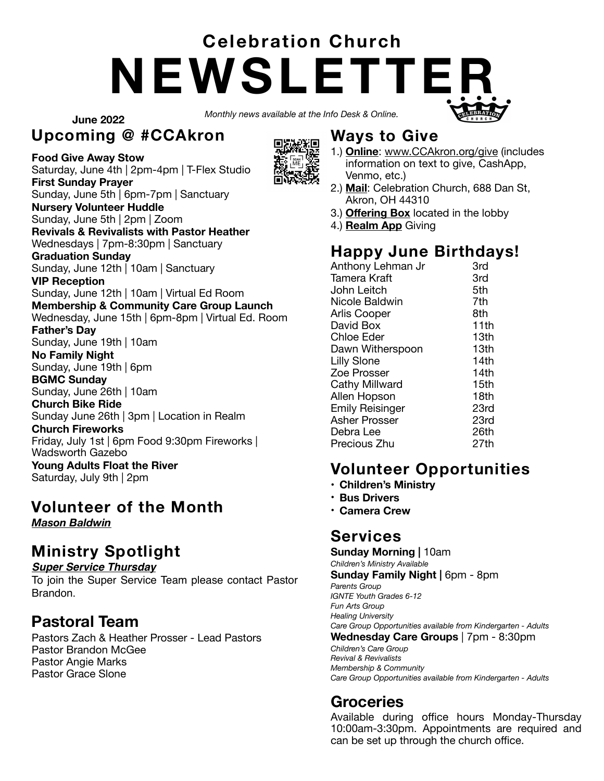# **NEWSLETTER Celebration Church**

*Monthly news available at the Info Desk & Online.* 

**June 2022**

#### **Upcoming @ #CCAkron**



Saturday, June 4th | 2pm-4pm | T-Flex Studio **First Sunday Prayer**

Sunday, June 5th | 6pm-7pm | Sanctuary **Nursery Volunteer Huddle** 

Sunday, June 5th | 2pm | Zoom **Revivals & Revivalists with Pastor Heather** 

Wednesdays | 7pm-8:30pm | Sanctuary

#### **Graduation Sunday**

Sunday, June 12th | 10am | Sanctuary

**VIP Reception** 

Sunday, June 12th | 10am | Virtual Ed Room

**Membership & Community Care Group Launch**  Wednesday, June 15th | 6pm-8pm | Virtual Ed. Room

#### **Father's Day**

Sunday, June 19th | 10am

**No Family Night**  Sunday, June 19th | 6pm

**BGMC Sunday** 

Sunday, June 26th | 10am **Church Bike Ride** 

Sunday June 26th | 3pm | Location in Realm

**Church Fireworks** 

Friday, July 1st | 6pm Food 9:30pm Fireworks |

Wadsworth Gazebo **Young Adults Float the River**  Saturday, July 9th | 2pm

#### **Volunteer of the Month**

*Mason Baldwin* 

### **Ministry Spotlight**

#### *Super Service Thursday*

To join the Super Service Team please contact Pastor Brandon.

#### **Pastoral Team**

Pastors Zach & Heather Prosser - Lead Pastors Pastor Brandon McGee Pastor Angie Marks Pastor Grace Slone

#### **Ways to Give**

- 1.) **Online**: [www.CCAkron.org/give](http://www.CCAkron.org/give) (includes information on text to give, CashApp, Venmo, etc.)
- 2.) **Mail**: Celebration Church, 688 Dan St, Akron, OH 44310
- 3.) **Offering Box** located in the lobby
- 4.) **Realm App** Giving

### **Happy June Birthdays!**

| Anthony Lehman Jr      | 3rd  |
|------------------------|------|
| Tamera Kraft           | 3rd  |
| John Leitch            | 5th  |
| Nicole Baldwin         | 7th  |
| <b>Arlis Cooper</b>    | 8th  |
| David Box              | 11th |
| <b>Chloe Eder</b>      | 13th |
| Dawn Witherspoon       | 13th |
| <b>Lilly Slone</b>     | 14th |
| Zoe Prosser            | 14th |
| Cathy Millward         | 15th |
| Allen Hopson           | 18th |
| <b>Emily Reisinger</b> | 23rd |
| <b>Asher Prosser</b>   | 23rd |
| Debra Lee              | 26th |
| Precious Zhu           | 27th |

### **Volunteer Opportunities**

- **Children's Ministry**
- **Bus Drivers**
- **Camera Crew**

#### **Services**

**Sunday Morning |** 10am

*Children's Ministry Available* **Sunday Family Night | 6pm - 8pm** 

*Parents Group IGNTE Youth Grades 6-12 Fun Arts Group Healing University Care Group Opportunities available from Kindergarten - Adults* **Wednesday Care Groups** | 7pm - 8:30pm

*Children's Care Group Revival & Revivalists Membership & Community Care Group Opportunities available from Kindergarten - Adults* 

#### **Groceries**

Available during office hours Monday-Thursday 10:00am-3:30pm. Appointments are required and can be set up through the church office.